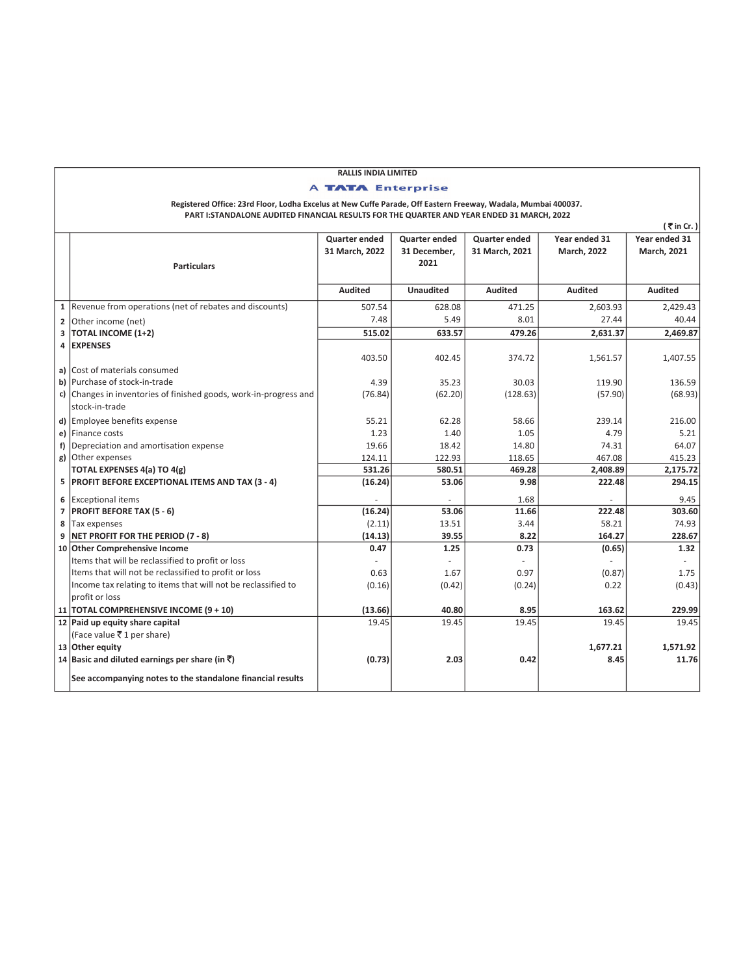|    |                                                                                                               | <b>RALLIS INDIA LIMITED</b> |                      |                |                    |                             |
|----|---------------------------------------------------------------------------------------------------------------|-----------------------------|----------------------|----------------|--------------------|-----------------------------|
|    |                                                                                                               | <b>A TATA Enterprise</b>    |                      |                |                    |                             |
|    | Registered Office: 23rd Floor, Lodha Excelus at New Cuffe Parade, Off Eastern Freeway, Wadala, Mumbai 400037. |                             |                      |                |                    |                             |
|    | PART I: STANDALONE AUDITED FINANCIAL RESULTS FOR THE QUARTER AND YEAR ENDED 31 MARCH, 2022                    |                             |                      |                |                    |                             |
|    |                                                                                                               |                             |                      |                |                    | $\bar{\bar{\tau}}$ in Cr. ) |
|    |                                                                                                               | Quarter ended               | <b>Quarter ended</b> | Quarter ended  | Year ended 31      | Year ended 31               |
|    |                                                                                                               | 31 March, 2022              | 31 December,         | 31 March, 2021 | <b>March, 2022</b> | March, 2021                 |
|    | <b>Particulars</b>                                                                                            |                             | 2021                 |                |                    |                             |
|    |                                                                                                               |                             |                      |                |                    |                             |
|    |                                                                                                               | <b>Audited</b>              | <b>Unaudited</b>     | <b>Audited</b> | <b>Audited</b>     | <b>Audited</b>              |
|    |                                                                                                               |                             |                      |                |                    |                             |
|    | 1 Revenue from operations (net of rebates and discounts)                                                      | 507.54                      | 628.08               | 471.25         | 2,603.93           | 2,429.43                    |
|    | 2 Other income (net)                                                                                          | 7.48                        | 5.49                 | 8.01           | 27.44              | 40.44                       |
|    | 3   TOTAL INCOME (1+2)                                                                                        | 515.02                      | 633.57               | 479.26         | 2,631.37           | 2.469.87                    |
|    | 4 EXPENSES                                                                                                    |                             |                      |                |                    |                             |
|    |                                                                                                               | 403.50                      | 402.45               | 374.72         | 1,561.57           | 1,407.55                    |
|    | a) Cost of materials consumed                                                                                 |                             |                      |                |                    |                             |
|    | b) Purchase of stock-in-trade                                                                                 | 4.39                        | 35.23                | 30.03          | 119.90             | 136.59                      |
|    | c) Changes in inventories of finished goods, work-in-progress and                                             | (76.84)                     | (62.20)              | (128.63)       | (57.90)            | (68.93)                     |
|    | stock-in-trade                                                                                                |                             |                      |                |                    |                             |
|    | d) Employee benefits expense                                                                                  | 55.21                       | 62.28                | 58.66          | 239.14             | 216.00                      |
|    | e) Finance costs                                                                                              | 1.23                        | 1.40                 | 1.05           | 4.79               | 5.21                        |
| f) | Depreciation and amortisation expense                                                                         | 19.66                       | 18.42                | 14.80          | 74.31              | 64.07                       |
|    | g) Other expenses                                                                                             | 124.11                      | 122.93               | 118.65         | 467.08             | 415.23                      |
|    | TOTAL EXPENSES 4(a) TO 4(g)                                                                                   | 531.26                      | 580.51               | 469.28         | 2,408.89           | 2,175.72                    |
|    | 5 PROFIT BEFORE EXCEPTIONAL ITEMS AND TAX (3 - 4)                                                             | (16.24)                     | 53.06                | 9.98           | 222.48             | 294.15                      |
| 6  | <b>Exceptional items</b>                                                                                      |                             |                      | 1.68           |                    | 9.45                        |
| 7  | <b>PROFIT BEFORE TAX (5 - 6)</b>                                                                              | (16.24)                     | 53.06                | 11.66          | 222.48             | 303.60                      |
| 8  | Tax expenses                                                                                                  | (2.11)                      | 13.51                | 3.44           | 58.21              | 74.93                       |
|    | 9 NET PROFIT FOR THE PERIOD (7 - 8)                                                                           | (14.13)                     | 39.55                | 8.22           | 164.27             | 228.67                      |
|    | 10 Other Comprehensive Income                                                                                 | 0.47                        | 1.25                 | 0.73           | (0.65)             | 1.32                        |
|    | Items that will be reclassified to profit or loss                                                             | ÷,                          |                      | $\sim$         |                    |                             |
|    | Items that will not be reclassified to profit or loss                                                         | 0.63                        | 1.67                 | 0.97           | (0.87)             | 1.75                        |
|    | Income tax relating to items that will not be reclassified to                                                 | (0.16)                      | (0.42)               | (0.24)         | 0.22               | (0.43)                      |
|    | profit or loss                                                                                                |                             |                      |                |                    |                             |
|    | 11 TOTAL COMPREHENSIVE INCOME (9 + 10)                                                                        | (13.66)                     | 40.80                | 8.95           | 163.62             | 229.99                      |
|    | 12 Paid up equity share capital                                                                               | 19.45                       | 19.45                | 19.45          | 19.45              | 19.45                       |
|    | (Face value ₹1 per share)                                                                                     |                             |                      |                |                    |                             |
|    | 13 Other equity                                                                                               |                             |                      |                | 1,677.21           | 1.571.92                    |
|    | 14 Basic and diluted earnings per share (in $\bar{z}$ )                                                       | (0.73)                      | 2.03                 | 0.42           | 8.45               | 11.76                       |
|    | See accompanying notes to the standalone financial results                                                    |                             |                      |                |                    |                             |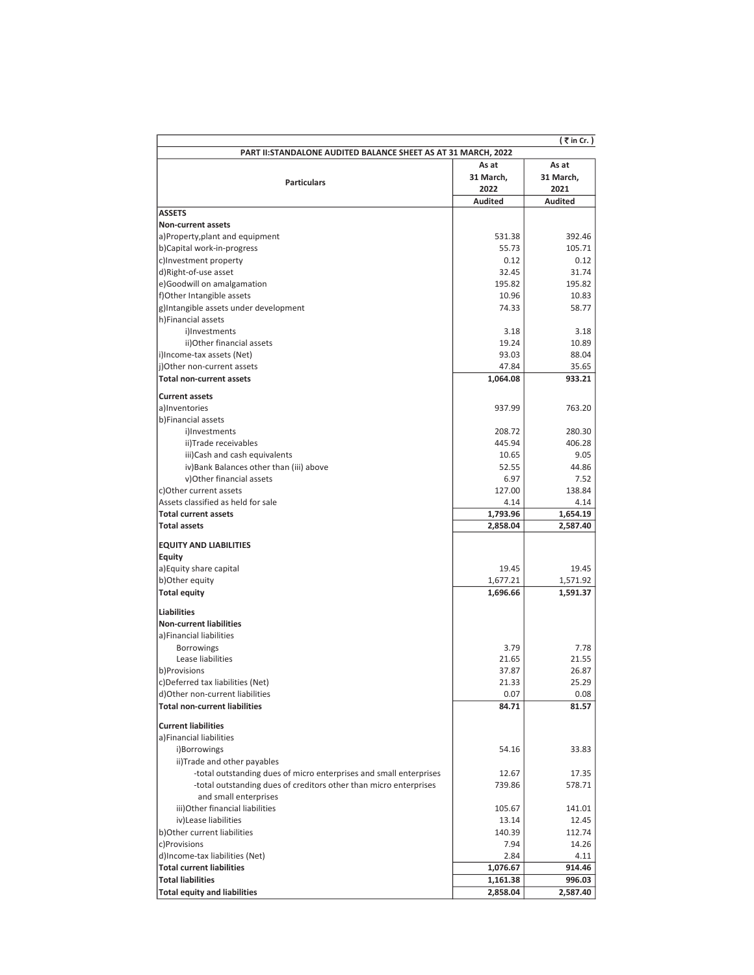|                                                                    |                      | $($ ₹ in Cr.)        |  |  |  |  |
|--------------------------------------------------------------------|----------------------|----------------------|--|--|--|--|
| PART II: STANDALONE AUDITED BALANCE SHEET AS AT 31 MARCH, 2022     |                      |                      |  |  |  |  |
|                                                                    | As at                | As at                |  |  |  |  |
| <b>Particulars</b>                                                 | 31 March,            | 31 March,            |  |  |  |  |
|                                                                    | 2022                 | 2021                 |  |  |  |  |
|                                                                    | Audited              | <b>Audited</b>       |  |  |  |  |
| <b>ASSETS</b><br><b>Non-current assets</b>                         |                      |                      |  |  |  |  |
| a)Property, plant and equipment                                    | 531.38               | 392.46               |  |  |  |  |
| b)Capital work-in-progress                                         | 55.73                | 105.71               |  |  |  |  |
| c)Investment property                                              | 0.12                 | 0.12                 |  |  |  |  |
| d)Right-of-use asset                                               | 32.45                | 31.74                |  |  |  |  |
| e)Goodwill on amalgamation                                         | 195.82               | 195.82               |  |  |  |  |
| f)Other Intangible assets                                          | 10.96                | 10.83                |  |  |  |  |
| g)Intangible assets under development                              | 74.33                | 58.77                |  |  |  |  |
| h)Financial assets                                                 |                      |                      |  |  |  |  |
| i)Investments                                                      | 3.18                 | 3.18                 |  |  |  |  |
| ii) Other financial assets                                         | 19.24                | 10.89                |  |  |  |  |
| i)Income-tax assets (Net)                                          | 93.03                | 88.04                |  |  |  |  |
| j)Other non-current assets                                         | 47.84                | 35.65                |  |  |  |  |
| <b>Total non-current assets</b>                                    | 1,064.08             | 933.21               |  |  |  |  |
|                                                                    |                      |                      |  |  |  |  |
| <b>Current assets</b>                                              |                      |                      |  |  |  |  |
| a)Inventories                                                      | 937.99               | 763.20               |  |  |  |  |
| b)Financial assets                                                 |                      |                      |  |  |  |  |
| i)Investments                                                      | 208.72               | 280.30               |  |  |  |  |
| ii)Trade receivables                                               | 445.94               | 406.28               |  |  |  |  |
| iii)Cash and cash equivalents                                      | 10.65                | 9.05                 |  |  |  |  |
| iv) Bank Balances other than (iii) above                           | 52.55                | 44.86                |  |  |  |  |
| v) Other financial assets                                          | 6.97                 | 7.52                 |  |  |  |  |
| c)Other current assets                                             | 127.00               | 138.84               |  |  |  |  |
| Assets classified as held for sale<br><b>Total current assets</b>  | 4.14                 | 4.14                 |  |  |  |  |
| <b>Total assets</b>                                                | 1,793.96<br>2,858.04 | 1,654.19<br>2,587.40 |  |  |  |  |
|                                                                    |                      |                      |  |  |  |  |
| <b>EQUITY AND LIABILITIES</b>                                      |                      |                      |  |  |  |  |
| Equity                                                             |                      |                      |  |  |  |  |
| a) Equity share capital                                            | 19.45                | 19.45                |  |  |  |  |
| b) Other equity                                                    | 1,677.21             | 1,571.92             |  |  |  |  |
| <b>Total equity</b>                                                | 1,696.66             | 1,591.37             |  |  |  |  |
| <b>Liabilities</b>                                                 |                      |                      |  |  |  |  |
| <b>Non-current liabilities</b>                                     |                      |                      |  |  |  |  |
| a)Financial liabilities                                            |                      |                      |  |  |  |  |
| <b>Borrowings</b>                                                  | 3.79                 | 7.78                 |  |  |  |  |
| Lease liabilities                                                  | 21.65                | 21.55                |  |  |  |  |
| b)Provisions                                                       | 37.87                | 26.87                |  |  |  |  |
| c)Deferred tax liabilities (Net)                                   | 21.33                | 25.29                |  |  |  |  |
| d) Other non-current liabilities                                   | 0.07                 | 0.08                 |  |  |  |  |
| <b>Total non-current liabilities</b>                               | 84.71                | 81.57                |  |  |  |  |
|                                                                    |                      |                      |  |  |  |  |
| <b>Current liabilities</b>                                         |                      |                      |  |  |  |  |
| a)Financial liabilities                                            |                      |                      |  |  |  |  |
| i)Borrowings                                                       | 54.16                | 33.83                |  |  |  |  |
| ii)Trade and other payables                                        |                      |                      |  |  |  |  |
| -total outstanding dues of micro enterprises and small enterprises | 12.67                | 17.35                |  |  |  |  |
| -total outstanding dues of creditors other than micro enterprises  | 739.86               | 578.71               |  |  |  |  |
| and small enterprises                                              |                      |                      |  |  |  |  |
| iii) Other financial liabilities                                   | 105.67               | 141.01               |  |  |  |  |
| iv)Lease liabilities                                               | 13.14                | 12.45                |  |  |  |  |
| b) Other current liabilities                                       | 140.39               | 112.74               |  |  |  |  |
| c)Provisions                                                       | 7.94                 | 14.26                |  |  |  |  |
| d)Income-tax liabilities (Net)                                     | 2.84                 | 4.11                 |  |  |  |  |
| <b>Total current liabilities</b>                                   | 1,076.67             | 914.46               |  |  |  |  |
| <b>Total liabilities</b>                                           | 1,161.38             | 996.03               |  |  |  |  |
| <b>Total equity and liabilities</b>                                | 2,858.04             | 2,587.40             |  |  |  |  |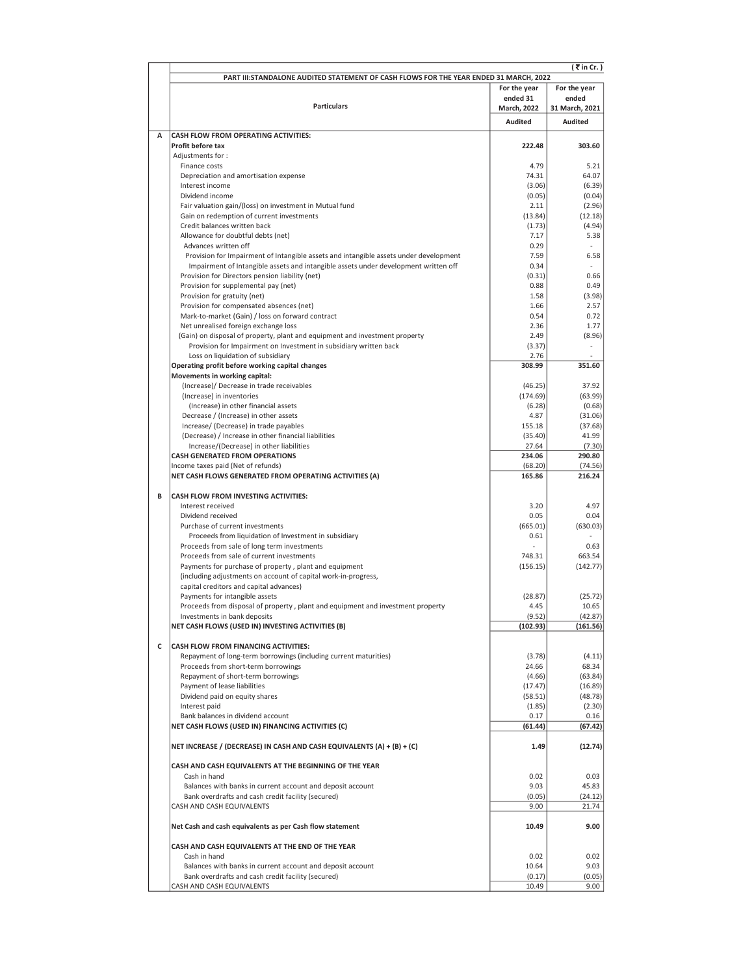|   | (₹in Cr.)<br>PART III: STANDALONE AUDITED STATEMENT OF CASH FLOWS FOR THE YEAR ENDED 31 MARCH, 2022              |                    |                    |  |  |  |
|---|------------------------------------------------------------------------------------------------------------------|--------------------|--------------------|--|--|--|
|   |                                                                                                                  |                    | For the year       |  |  |  |
|   |                                                                                                                  | ended 31           | ended              |  |  |  |
|   | <b>Particulars</b>                                                                                               | <b>March, 2022</b> | 31 March, 2021     |  |  |  |
|   |                                                                                                                  | <b>Audited</b>     | <b>Audited</b>     |  |  |  |
| A | CASH FLOW FROM OPERATING ACTIVITIES:                                                                             |                    |                    |  |  |  |
|   | Profit before tax<br>Adjustments for:                                                                            | 222.48             | 303.60             |  |  |  |
|   | Finance costs                                                                                                    | 4.79               | 5.21               |  |  |  |
|   | Depreciation and amortisation expense                                                                            | 74.31              | 64.07              |  |  |  |
|   | Interest income                                                                                                  | (3.06)             | (6.39)             |  |  |  |
|   | Dividend income                                                                                                  | (0.05)             | (0.04)             |  |  |  |
|   | Fair valuation gain/(loss) on investment in Mutual fund<br>Gain on redemption of current investments             | 2.11<br>(13.84)    | (2.96)<br>(12.18)  |  |  |  |
|   | Credit balances written back                                                                                     | (1.73)             | (4.94)             |  |  |  |
|   | Allowance for doubtful debts (net)                                                                               | 7.17               | 5.38               |  |  |  |
|   | Advances written off                                                                                             | 0.29               |                    |  |  |  |
|   | Provision for Impairment of Intangible assets and intangible assets under development                            | 7.59               | 6.58               |  |  |  |
|   | Impairment of Intangible assets and intangible assets under development written off                              | 0.34               |                    |  |  |  |
|   | Provision for Directors pension liability (net)<br>Provision for supplemental pay (net)                          | (0.31)<br>0.88     | 0.66<br>0.49       |  |  |  |
|   | Provision for gratuity (net)                                                                                     | 1.58               | (3.98)             |  |  |  |
|   | Provision for compensated absences (net)                                                                         | 1.66               | 2.57               |  |  |  |
|   | Mark-to-market (Gain) / loss on forward contract                                                                 | 0.54               | 0.72               |  |  |  |
|   | Net unrealised foreign exchange loss                                                                             | 2.36               | 1.77               |  |  |  |
|   | (Gain) on disposal of property, plant and equipment and investment property                                      | 2.49               | (8.96)             |  |  |  |
|   | Provision for Impairment on Investment in subsidiary written back                                                | (3.37)             |                    |  |  |  |
|   | Loss on liquidation of subsidiary<br>Operating profit before working capital changes                             | 2.76<br>308.99     | 351.60             |  |  |  |
|   | Movements in working capital:                                                                                    |                    |                    |  |  |  |
|   | (Increase)/ Decrease in trade receivables                                                                        | (46.25)            | 37.92              |  |  |  |
|   | (Increase) in inventories                                                                                        | (174.69)           | (63.99)            |  |  |  |
|   | (Increase) in other financial assets                                                                             | (6.28)             | (0.68)             |  |  |  |
|   | Decrease / (Increase) in other assets                                                                            | 4.87               | (31.06)            |  |  |  |
|   | Increase/ (Decrease) in trade payables<br>(Decrease) / Increase in other financial liabilities                   | 155.18<br>(35.40)  | (37.68)<br>41.99   |  |  |  |
|   | Increase/(Decrease) in other liabilities                                                                         | 27.64              | (7.30)             |  |  |  |
|   | <b>CASH GENERATED FROM OPERATIONS</b>                                                                            | 234.06             | 290.80             |  |  |  |
|   | Income taxes paid (Net of refunds)                                                                               | (68.20)            | (74.56)            |  |  |  |
|   | NET CASH FLOWS GENERATED FROM OPERATING ACTIVITIES (A)                                                           | 165.86             | 216.24             |  |  |  |
| B | CASH FLOW FROM INVESTING ACTIVITIES:                                                                             |                    |                    |  |  |  |
|   | Interest received                                                                                                | 3.20               | 4.97               |  |  |  |
|   | Dividend received                                                                                                | 0.05               | 0.04               |  |  |  |
|   | Purchase of current investments                                                                                  | (665.01)           | (630.03)           |  |  |  |
|   | Proceeds from liquidation of Investment in subsidiary                                                            | 0.61               |                    |  |  |  |
|   | Proceeds from sale of long term investments                                                                      |                    | 0.63               |  |  |  |
|   | Proceeds from sale of current investments<br>Payments for purchase of property, plant and equipment              | 748.31<br>(156.15) | 663.54<br>(142.77) |  |  |  |
|   | (including adjustments on account of capital work-in-progress,                                                   |                    |                    |  |  |  |
|   | capital creditors and capital advances)                                                                          |                    |                    |  |  |  |
|   | Payments for intangible assets                                                                                   | (28.87)            | (25.72)            |  |  |  |
|   | Proceeds from disposal of property, plant and equipment and investment property                                  | 4.45               | 10.65              |  |  |  |
|   | Investments in bank deposits                                                                                     | (9.52)             | (42.87)            |  |  |  |
|   | NET CASH FLOWS (USED IN) INVESTING ACTIVITIES (B)                                                                | (102.93)           | (161.56)           |  |  |  |
| c | <b>CASH FLOW FROM FINANCING ACTIVITIES:</b>                                                                      |                    |                    |  |  |  |
|   | Repayment of long-term borrowings (including current maturities)                                                 | (3.78)             | (4.11)             |  |  |  |
|   | Proceeds from short-term borrowings                                                                              | 24.66              | 68.34              |  |  |  |
|   | Repayment of short-term borrowings                                                                               | (4.66)             | (63.84)            |  |  |  |
|   | Payment of lease liabilities                                                                                     | (17.47)            | (16.89)            |  |  |  |
|   | Dividend paid on equity shares                                                                                   | (58.51)<br>(1.85)  | (48.78)            |  |  |  |
|   | Interest paid<br>Bank balances in dividend account                                                               | 0.17               | (2.30)<br>0.16     |  |  |  |
|   | NET CASH FLOWS (USED IN) FINANCING ACTIVITIES (C)                                                                | (61.44)            | (67.42)            |  |  |  |
|   | NET INCREASE / (DECREASE) IN CASH AND CASH EQUIVALENTS (A) + (B) + (C)                                           | 1.49               | (12.74)            |  |  |  |
|   |                                                                                                                  |                    |                    |  |  |  |
|   | CASH AND CASH EQUIVALENTS AT THE BEGINNING OF THE YEAR                                                           |                    |                    |  |  |  |
|   | Cash in hand                                                                                                     | 0.02               | 0.03               |  |  |  |
|   | Balances with banks in current account and deposit account<br>Bank overdrafts and cash credit facility (secured) | 9.03<br>(0.05)     | 45.83<br>(24.12)   |  |  |  |
|   | CASH AND CASH EQUIVALENTS                                                                                        | 9.00               | 21.74              |  |  |  |
|   | Net Cash and cash equivalents as per Cash flow statement                                                         | 10.49              | 9.00               |  |  |  |
|   | CASH AND CASH EQUIVALENTS AT THE END OF THE YEAR                                                                 |                    |                    |  |  |  |
|   | Cash in hand                                                                                                     | 0.02               | 0.02               |  |  |  |
|   | Balances with banks in current account and deposit account                                                       | 10.64              | 9.03               |  |  |  |
|   | Bank overdrafts and cash credit facility (secured)                                                               | (0.17)             | (0.05)             |  |  |  |
|   | CASH AND CASH EQUIVALENTS                                                                                        | 10.49              | 9.00               |  |  |  |